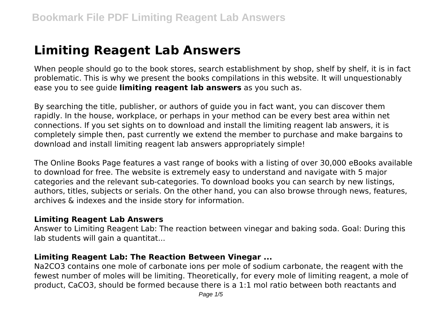# **Limiting Reagent Lab Answers**

When people should go to the book stores, search establishment by shop, shelf by shelf, it is in fact problematic. This is why we present the books compilations in this website. It will unquestionably ease you to see guide **limiting reagent lab answers** as you such as.

By searching the title, publisher, or authors of guide you in fact want, you can discover them rapidly. In the house, workplace, or perhaps in your method can be every best area within net connections. If you set sights on to download and install the limiting reagent lab answers, it is completely simple then, past currently we extend the member to purchase and make bargains to download and install limiting reagent lab answers appropriately simple!

The Online Books Page features a vast range of books with a listing of over 30,000 eBooks available to download for free. The website is extremely easy to understand and navigate with 5 major categories and the relevant sub-categories. To download books you can search by new listings, authors, titles, subjects or serials. On the other hand, you can also browse through news, features, archives & indexes and the inside story for information.

#### **Limiting Reagent Lab Answers**

Answer to Limiting Reagent Lab: The reaction between vinegar and baking soda. Goal: During this lab students will gain a quantitat...

#### **Limiting Reagent Lab: The Reaction Between Vinegar ...**

Na2CO3 contains one mole of carbonate ions per mole of sodium carbonate, the reagent with the fewest number of moles will be limiting. Theoretically, for every mole of limiting reagent, a mole of product, CaCO3, should be formed because there is a 1:1 mol ratio between both reactants and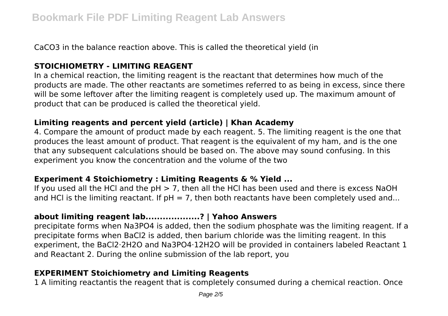CaCO3 in the balance reaction above. This is called the theoretical yield (in

# **STOICHIOMETRY - LIMITING REAGENT**

In a chemical reaction, the limiting reagent is the reactant that determines how much of the products are made. The other reactants are sometimes referred to as being in excess, since there will be some leftover after the limiting reagent is completely used up. The maximum amount of product that can be produced is called the theoretical yield.

#### **Limiting reagents and percent yield (article) | Khan Academy**

4. Compare the amount of product made by each reagent. 5. The limiting reagent is the one that produces the least amount of product. That reagent is the equivalent of my ham, and is the one that any subsequent calculations should be based on. The above may sound confusing. In this experiment you know the concentration and the volume of the two

#### **Experiment 4 Stoichiometry : Limiting Reagents & % Yield ...**

If you used all the HCl and the  $pH > 7$ , then all the HCl has been used and there is excess NaOH and HCI is the limiting reactant. If  $pH = 7$ , then both reactants have been completely used and...

# **about limiting reagent lab...................? | Yahoo Answers**

precipitate forms when Na3PO4 is added, then the sodium phosphate was the limiting reagent. If a precipitate forms when BaCl2 is added, then barium chloride was the limiting reagent. In this experiment, the BaCl2·2H2O and Na3PO4·12H2O will be provided in containers labeled Reactant 1 and Reactant 2. During the online submission of the lab report, you

# **EXPERIMENT Stoichiometry and Limiting Reagents**

1 A limiting reactantis the reagent that is completely consumed during a chemical reaction. Once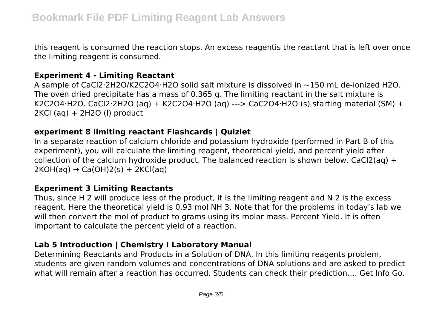this reagent is consumed the reaction stops. An excess reagentis the reactant that is left over once the limiting reagent is consumed.

#### **Experiment 4 - Limiting Reactant**

A sample of CaCl2⋅2H2O/K2C2O4⋅H2O solid salt mixture is dissolved in ~150 mL de-ionized H2O. The oven dried precipitate has a mass of 0.365 g. The limiting reactant in the salt mixture is K2C2O4⋅H2O. CaCl2⋅2H2O (aq) + K2C2O4⋅H2O (aq) ---> CaC2O4⋅H2O (s) starting material (SM) + 2KCl (aq) + 2H2O (l) product

#### **experiment 8 limiting reactant Flashcards | Quizlet**

In a separate reaction of calcium chloride and potassium hydroxide (performed in Part B of this experiment), you will calculate the limiting reagent, theoretical yield, and percent yield after collection of the calcium hydroxide product. The balanced reaction is shown below. CaCl2(aq) +  $2KOH(aq) \rightarrow Ca(OH)2(s) + 2KCl(aq)$ 

# **Experiment 3 Limiting Reactants**

Thus, since H 2 will produce less of the product, it is the limiting reagent and N 2 is the excess reagent. Here the theoretical yield is 0.93 mol NH 3. Note that for the problems in today's lab we will then convert the mol of product to grams using its molar mass. Percent Yield. It is often important to calculate the percent yield of a reaction.

# **Lab 5 Introduction | Chemistry I Laboratory Manual**

Determining Reactants and Products in a Solution of DNA. In this limiting reagents problem, students are given random volumes and concentrations of DNA solutions and are asked to predict what will remain after a reaction has occurred. Students can check their prediction…. Get Info Go.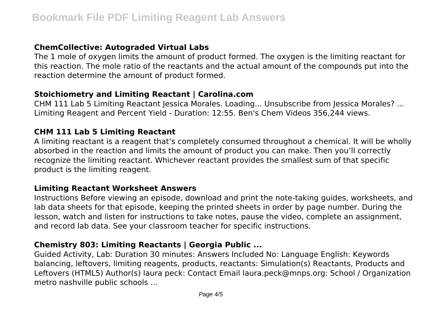# **ChemCollective: Autograded Virtual Labs**

The 1 mole of oxygen limits the amount of product formed. The oxygen is the limiting reactant for this reaction. The mole ratio of the reactants and the actual amount of the compounds put into the reaction determine the amount of product formed.

#### **Stoichiometry and Limiting Reactant | Carolina.com**

CHM 111 Lab 5 Limiting Reactant Jessica Morales. Loading... Unsubscribe from Jessica Morales? ... Limiting Reagent and Percent Yield - Duration: 12:55. Ben's Chem Videos 356,244 views.

#### **CHM 111 Lab 5 Limiting Reactant**

A limiting reactant is a reagent that's completely consumed throughout a chemical. It will be wholly absorbed in the reaction and limits the amount of product you can make. Then you'll correctly recognize the limiting reactant. Whichever reactant provides the smallest sum of that specific product is the limiting reagent.

#### **Limiting Reactant Worksheet Answers**

Instructions Before viewing an episode, download and print the note-taking guides, worksheets, and lab data sheets for that episode, keeping the printed sheets in order by page number. During the lesson, watch and listen for instructions to take notes, pause the video, complete an assignment, and record lab data. See your classroom teacher for specific instructions.

# **Chemistry 803: Limiting Reactants | Georgia Public ...**

Guided Activity, Lab: Duration 30 minutes: Answers Included No: Language English: Keywords balancing, leftovers, limiting reagents, products, reactants: Simulation(s) Reactants, Products and Leftovers (HTML5) Author(s) laura peck: Contact Email laura.peck@mnps.org: School / Organization metro nashville public schools ...